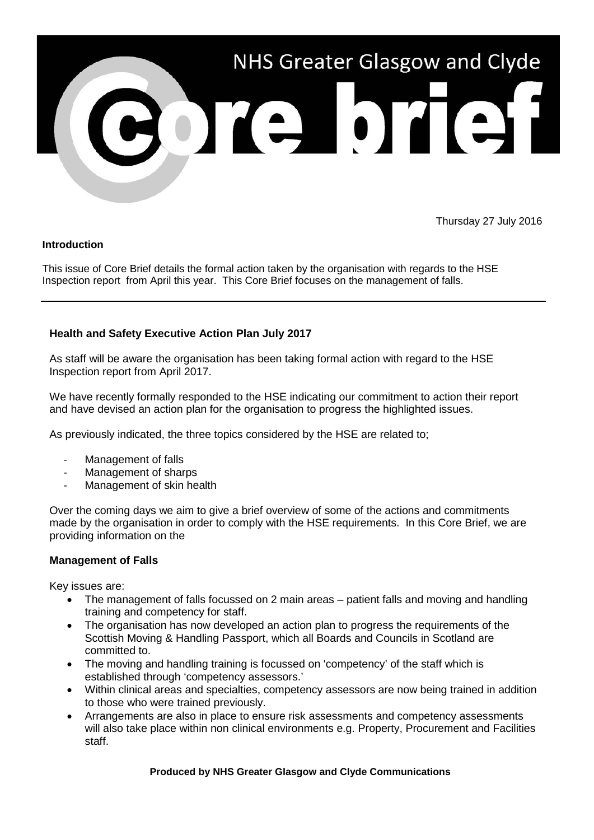

Thursday 27 July 2016

## **Introduction**

This issue of Core Brief details the formal action taken by the organisation with regards to the HSE Inspection report from April this year. This Core Brief focuses on the management of falls.

## **Health and Safety Executive Action Plan July 2017**

As staff will be aware the organisation has been taking formal action with regard to the HSE Inspection report from April 2017.

We have recently formally responded to the HSE indicating our commitment to action their report and have devised an action plan for the organisation to progress the highlighted issues.

As previously indicated, the three topics considered by the HSE are related to;

- Management of falls
- Management of sharps
- Management of skin health

Over the coming days we aim to give a brief overview of some of the actions and commitments made by the organisation in order to comply with the HSE requirements. In this Core Brief, we are providing information on the

## **Management of Falls**

Key issues are:

- The management of falls focussed on 2 main areas patient falls and moving and handling training and competency for staff.
- The organisation has now developed an action plan to progress the requirements of the Scottish Moving & Handling Passport, which all Boards and Councils in Scotland are committed to.
- The moving and handling training is focussed on 'competency' of the staff which is established through 'competency assessors.'
- Within clinical areas and specialties, competency assessors are now being trained in addition to those who were trained previously.
- Arrangements are also in place to ensure risk assessments and competency assessments will also take place within non clinical environments e.g. Property, Procurement and Facilities staff.

**Produced by NHS Greater Glasgow and Clyde Communications**